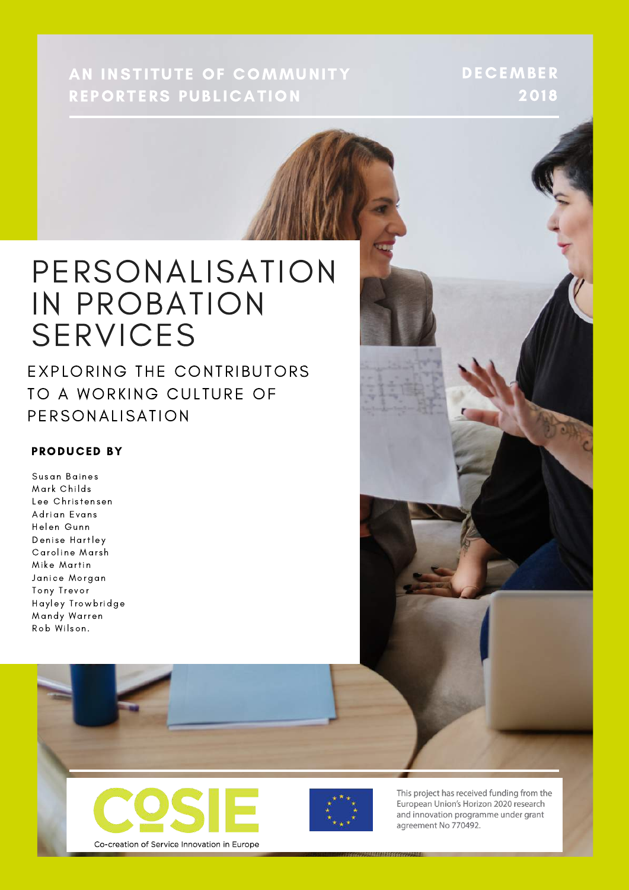AN INSTITUTE OF COMMUNITY REPORTERS PUBLICATION

DECEMBER 2018

#### PERSONALISATION IN PROBATION **SERVICES**

EXPLORING THE CONTRIBUTORS TO A WORKING CULTURE OF PERSONALISATION

#### **PRODUCED BY**

Susan Baines Mark Childs Lee Christensen Adrian Evans Helen Gunn **Denise Hartley** Caroline Marsh Mike Martin Janice Morgan Tony Trevor Hayley Trowbridge Mandy Warren Rob Wilson.





This project has received funding from the European Union's Horizon 2020 research and innovation programme under grant agreement No 770492.

Co-creation of Service Innovation in Europe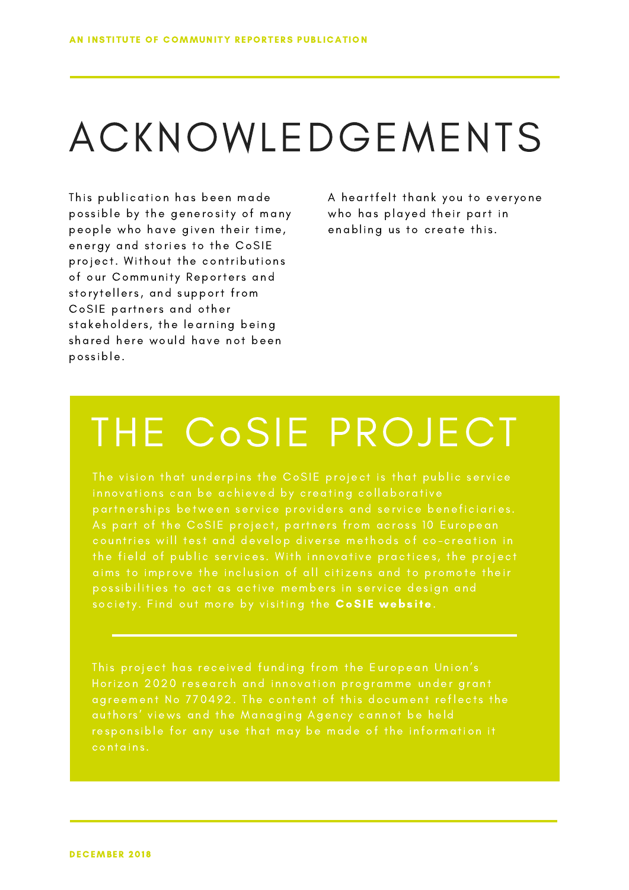# ACKNOWLEDGEMENTS

This publication has been made possible by the generosity of many people who have given their time, energy and stories to the CoSIE project. Without the contributions of our Community Reporters and storytellers, and support from CoSIE partners and other stakeholders, the learning being shared here would have not been pos s ible.

A heartfelt thank you to everyone who has played their part in enabling us to create this.

## THE CoSIE PROJECT

society. Find out more by visiting the CoSIE [webs](https://cosie.turkuamk.fi)ite.

contains.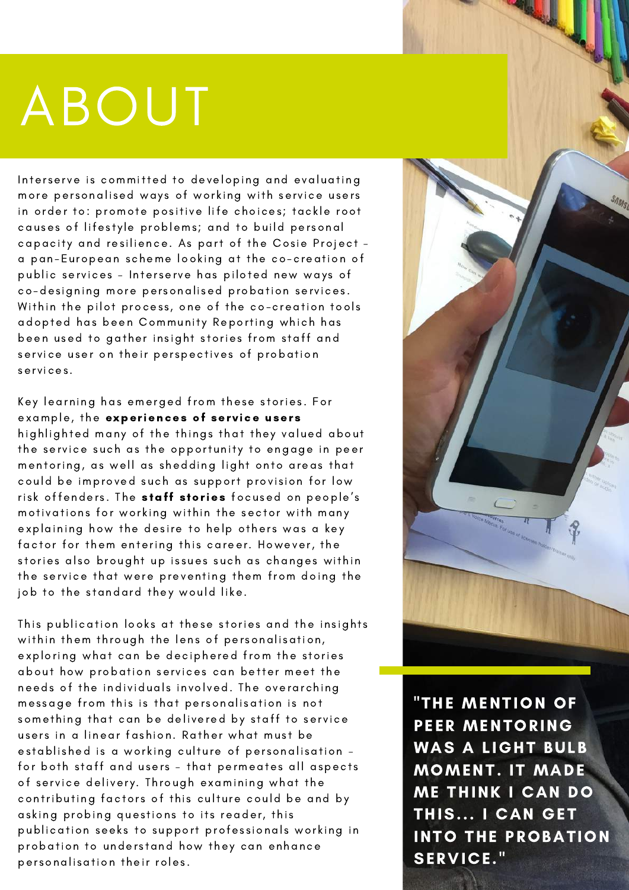# ABOUT

Interserve is committed to developing and evaluating more personalised ways of working with service users in order to: promote positive life choices; tackle root causes of lifestyle problems; and to build personal capacity and resilience. As part of the Cosie Project a pan-European scheme looking at the co-creation of public services - Interserve has piloted new ways of co-designing more personalised probation services. Within the pilot process, one of the co-creation tools adopted has been Community Reporting which has been used to gather insight stories from staff and service user on their perspectives of probation services.

Key learning has emerged from these stories. For example, the [experiences](https://communityreporter.net/story/working-probation-edited-extracts-probation-worker-stories) of service users highlighted many of the things that they valued about the service such as the opportunity to engage in peer mentoring, as well as shedding light onto areas that could be improved such as support provision for low risk offenders. The staff s[tories](https://communityreporter.net/story/working-probation-edited-extracts-probation-worker-stories) focused on people's motivations for working within the sector with many explaining how the desire to help others was a key factor for them entering this career. However, the stories also brought up issues such as changes within the service that were preventing them from doing the job to the standard they would like.

This publication looks at these stories and the insights within them through the lens of personalisation, exploring what can be deciphered from the stories about how probation services can better meet the needs of the individuals involved. The overarching message from this is that personalisation is not something that can be delivered by staff to service users in a linear fashion. Rather what must be established is a working culture of personalisation for both staff and users - that permeates all aspects of service delivery. Through examining what the contributing factors of this culture could be and by asking probing questions to its reader, this publication seeks to support professionals working in probation to understand how they can enhance personalisation their roles.



"THE MENTION OF PEER MENTORING WAS A LIGHT BULB MOMENT. IT MADE ME THINK I CAN DO THIS... I CAN GET INTO THE PROBATION SERVICE."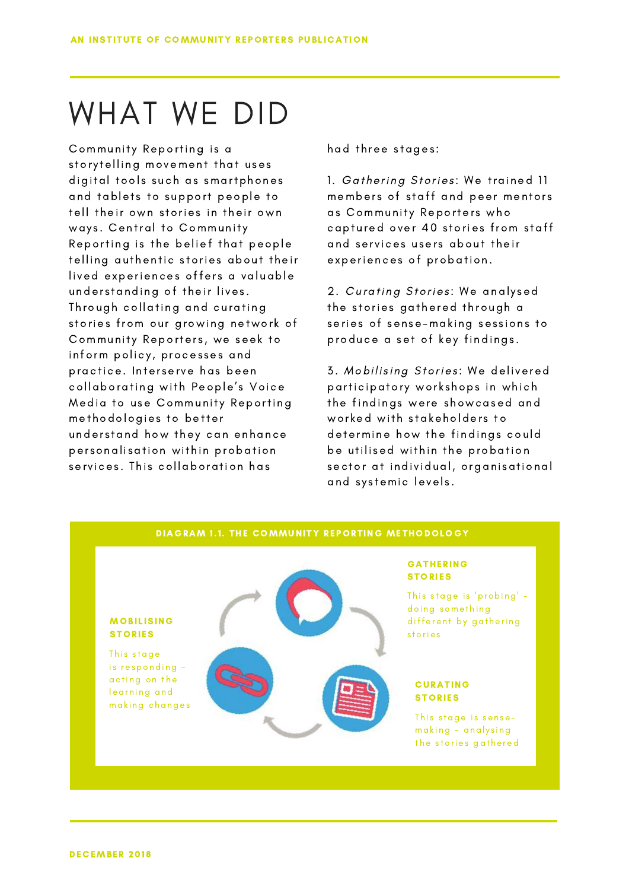## WHAT WE DID

Community Reporting is a storytelling movement that uses digital tools such as smartphones and tablets to support people to tell their own stories in their own ways. Central to Community Reporting is the belief that people telling authentic stories about their lived experiences offers a valuable understanding of their lives. Through collating and curating stories from our growing network of Community Reporters, we seek to inform policy, processes and practice. Interserve has been collaborating with People's Voice Media to use Community Reporting met hodologies to better understand how they can enhance personalisation within probation services. This collaboration has

had three stages:

1. Gathering Stories: We trained 11 members of staff and peer mentors as Community Reporters who captured over 40 stories from staff and services users about their experiences of probation.

2. Curating Stories: We analysed the stories gathered through a series of sense-making sessions to produce a set of key findings.

3. Mobilising Stories: We delivered participatory workshops in which the findings were showcased and worked with stakeholders to determine how the findings could be utilised within the probation sector at individual, organisational and systemic levels.

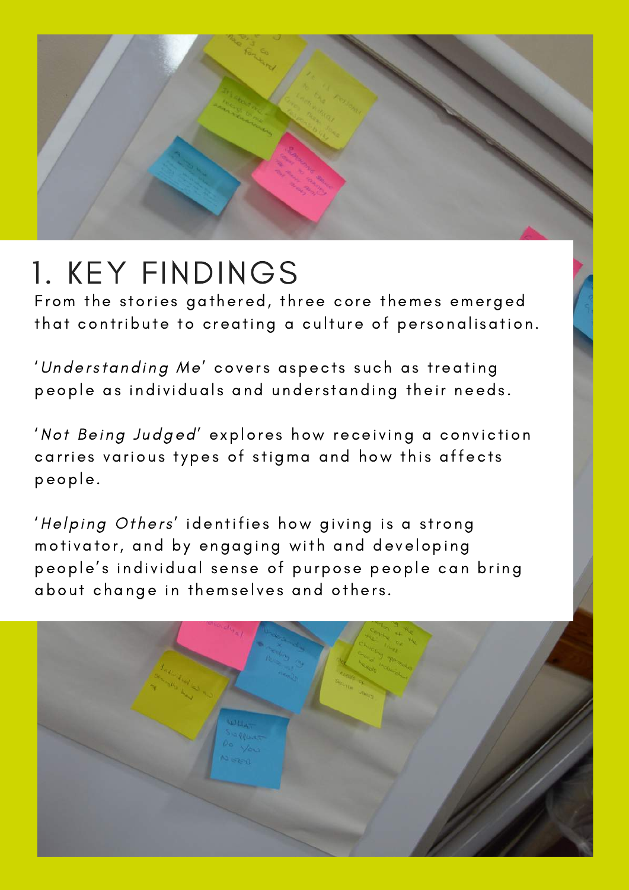

## 1. KEY FINDINGS

From the stories gathered, three core themes emerged that contribute to creating a culture of personalisation.

'Understanding Me' covers aspects such as treating people as individuals and understanding their needs.

'Not Being Judged' explores how receiving a conviction carries various types of stigma and how this affects people.

'Helping Others' identifies how giving is a strong motivator, and by engaging with and developing people's individual sense of purpose people can bring about change in themselves and others.

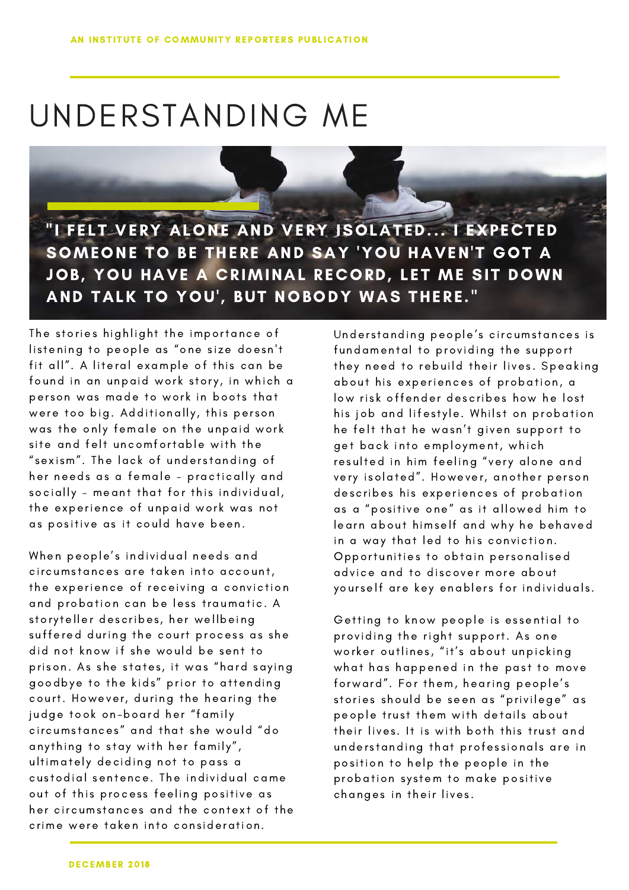## UNDERSTANDING ME

"I FELT VERY ALONE AND VERY ISOLATED... I EXPECTED SOMEONE TO BE THERE AND SAY 'YOU HAVEN'T GOT A JOB, YOU HAVE A CRIMINAL RECORD, LET ME SIT DOWN AND TALK TO YOU', BUT NOBODY WAS THERE."

The stories highlight the importance of listening to people as "one size doesn't fit all". A literal example of this can be found in an unpaid work story, in which a person was made to work in boots that were too big. Additionally, this person was the only female on the unpaid work site and felt uncomfortable with the " sexism". The lack of understanding of her needs as a female - practically and socially - meant that for this individual, the experience of unpaid work was not as positive as it could have been.

When people's individual needs and circumstances are taken into account, the experience of receiving a conviction and probation can be less traumatic. A story teller describes, her wellbeing suffered during the court process as she did not know if she would be sent to prison. As she states, it was "hard saying goodbye to the kids" prior to attending court. However, during the hearing the judge took on-board her "family circums tances " and t hat s he wou ld "do anything to stay with her family", ultimately deciding not to pass a custodial sentence. The individual came out of this process feeling positive as her circumstances and the context of the crime were taken into consideration.

Understanding people's circumstances is fundamental to providing the support they need to rebuild their lives. Speaking about his experiences of probation, a low risk offender describes how he lost his job and lifestyle. Whilst on probation he felt that he wasn't given support to get back into employment, which resulted in him feeling "very alone and very isolated". However, another person describes his experiences of probation as a "positive one" as it allowed him to learn about himself and why he behaved in a way that led to his conviction. Opportunities to obtain personalised advice and to discover more about yourself are key enablers for individuals.

Getting to know people is essential to providing the right support. As one worker outlines, "it's about unpicking what has happened in the past to move forward". For them, hearing people's stories should be seen as "privilege" as people trust them with details about their lives. It is with both this trust and understanding that professionals are in position to help the people in the probation system to make positive changes in their lives.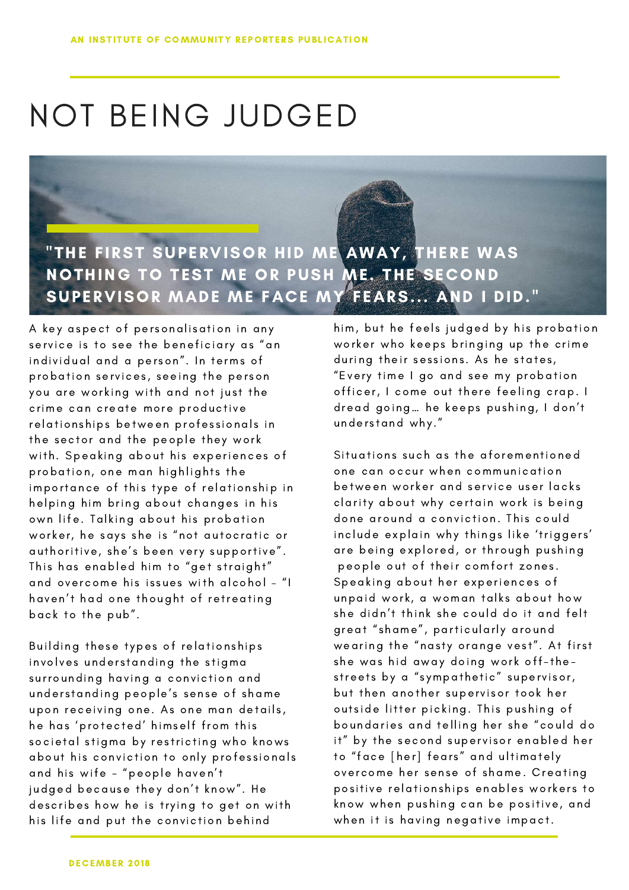## NOT BEING JUDGED



A key aspect of personalisation in any service is to see the beneficiary as "an individual and a person". In terms of probation services, seeing the person you are working with and not just the crime can create more productive relationships between professionals in the sector and the people they work with. Speaking about his experiences of probation, one man highlights the importance of this type of relationship in helping him bring about changes in his own life. Talking about his probation worker, he says she is "not autocratic or authoritive, she's been very supportive". This has enabled him to "get straight" and overcome his issues with alcohol - "I haven't had one thought of retreating back to the pub".

Building these types of relationships involves understanding the stigma surrounding having a conviction and understanding people's sense of shame upon receiving one. As one man details, he has 'protected' himself from this societal stigma by restricting who knows about his conviction to only professionals and his wife - "people haven't judged because they don't know". He describes how he is trying to get on with his life and put the conviction behind

him, but he feels judged by his probation worker who keeps bringing up the crime during their sessions. As he states, "Every time I go and see my probation officer, I come out there feeling crap. I dread going... he keeps pushing, I don't understand why."

Situations such as the aforementioned one can occur when communication between worker and service user lacks clarity about why certain work is being done around a conviction. This could include explain why things like 'triggers' are being explored, or through pushing people out of their comfort zones. Speaking about her experiences of unpaid work, a woman talks about how she didn't think she could do it and felt great "shame", particularly around wearing the "nasty orange vest". At first she was hid away doing work off-thestreets by a "sympathetic" supervisor, but then another supervisor took her outside litter picking. This pushing of boundaries and telling her she "could do it" by the second supervisor enabled her to "face [her] fears" and ultimately overcome her sense of shame. Creating positive relationships enables workers to know when pushing can be positive, and when it is having negative impact.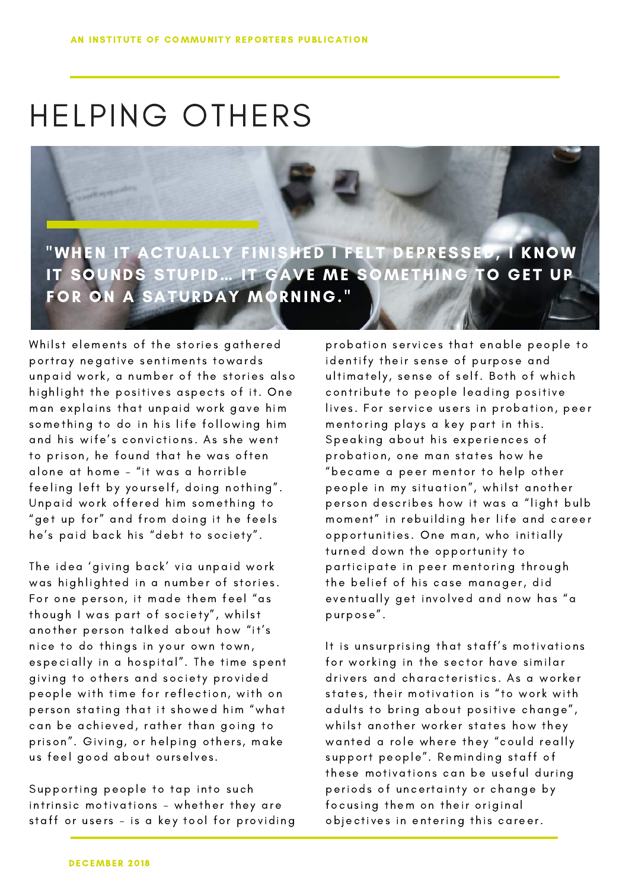## HELPING OTHERS

"WHEN IT ACTUALLY FINISHED I FELT DEPRESSED, I KNOW IT SOUNDS STUPID… IT GAVE ME SOMETHING TO GET UP FOR ON A SATURDAY MORNING."

Whilst elements of the stories gathered portray negative sentiments towards unpaid work, a number of the stories also highlight the positives aspects of it. One man explains that unpaid work gave him something to do in his life following him and his wife's convictions. As she went to prison, he found that he was often alone at home – "it was a horrible feeling left by yourself, doing nothing". Unpaid work offered him something to "get up for" and from doing it he feels he's paid back his "debt to society".

The idea 'giving back' via unpaid work was highlighted in a number of stories. For one person, it made them feel "as though I was part of society", whilst another person talked about how "it's nice to do things in your own town, especially in a hospital". The time spent giving to others and society provided people with time for reflection, with on person stating that it showed him "what can be achieved, rather than going to prison". Giving, or helping others, make us feel good about ourselves.

Supporting people to tap into such intrinsic motivations - whether they are staff or users - is a key tool for providing probation services that enable people to identify their sense of purpose and ultimately, sense of self. Both of which contribute to people leading positive lives. For service users in probation, peer mentoring plays a key part in this. Speaking about his experiences of probation, one man states how he "became a peer mentor to help other people in my situation", whilst another person describes how it was a "light bulb moment" in rebuilding her life and career opportunities. One man, who initially turned down the opportunity to participate in peer mentoring through the belief of his case manager, did eventually get involved and now has "a pu rpose".

It is unsurprising that staff's motivations for working in the sector have similar drivers and characteristics. As a worker states, their motivation is "to work with adults to bring about positive change", whilst another worker states how they wanted a role where they "could really support people". Reminding staff of these motivations can be useful during periods of uncertainty or change by focusing them on their original objectives in entering this career.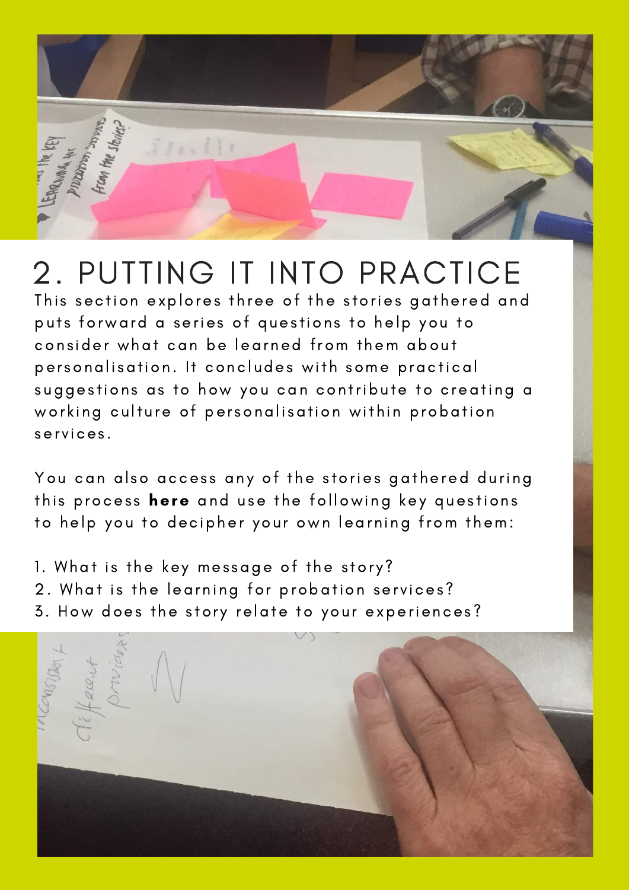

### 2. PUTTING IT INTO PRACTICE

This section explores three of the stories gathered and puts forward a series of questions to help you to consider what can be learned from them about personalisation. It concludes with some practical suggestions as to how you can contribute to creating a working culture of personalisation within probation services.

You can also access any of the stories gathered during this process here and use the following key questions to help you to decipher your own learning from them:

- 1. What is the key message of the story?
- 2. What is the learning for probation services?
- 3. How does the story relate to your [experiences](https://communityreporter.net/search/explore?f%5B0%5D=field_icr_network%3A93032&f%5B1%5D=taxonomy_vocabulary_5%3A90458)?

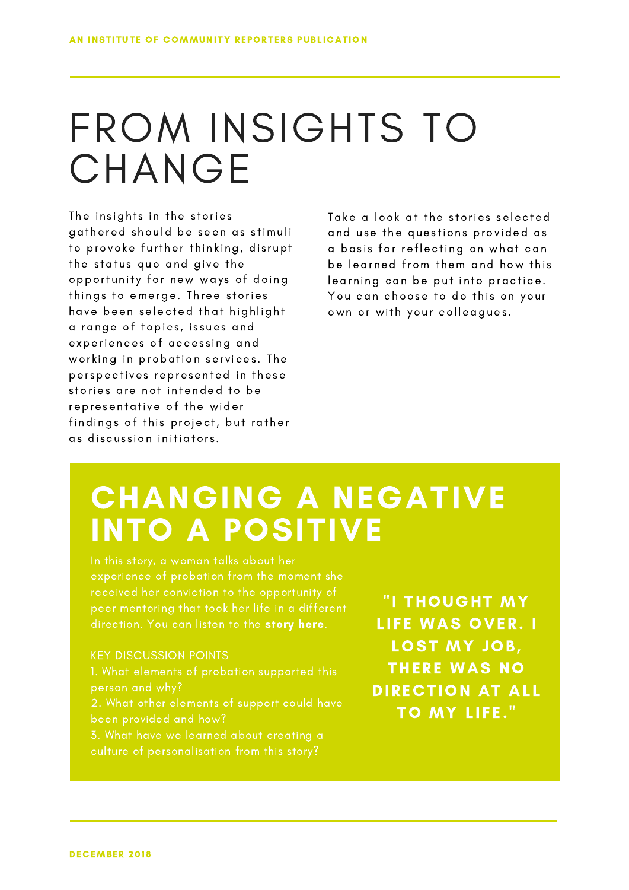## FROM INSIGHTS TO **CHANGE**

The insights in the stories gathered should be seen as stimuli to provoke further thinking, disrupt the status quo and give the opportunity for new ways of doing things to emerge. Three stories have been selected that highlight a range of topics, issues and experiences of accessing and working in probation services. The perspectives represented in these stories are not intended to be representative of the wider findings of this project, but rather as discussion initiators.

Take a look at the stories selected and use the questions provided as a basis for reflecting on what can be learned from them and how this learning can be put into practice. You can choose to do this on your own or with your colleagues.

#### CHANGING A NEGATIVE INTO A POSITIVE

direction. You can listen to the story [here.](https://communityreporter.net/story/changing-negative-positive)

#### KEY DISCUSSION POINTS

- 
- 2. What other elements of support could have
- 3. What have we learned about creating a

"I THOUGHT MY LIFE WAS OVER. I LOST MY JOB, THERE WAS NO DIRECTION AT ALL TO MY LIFE."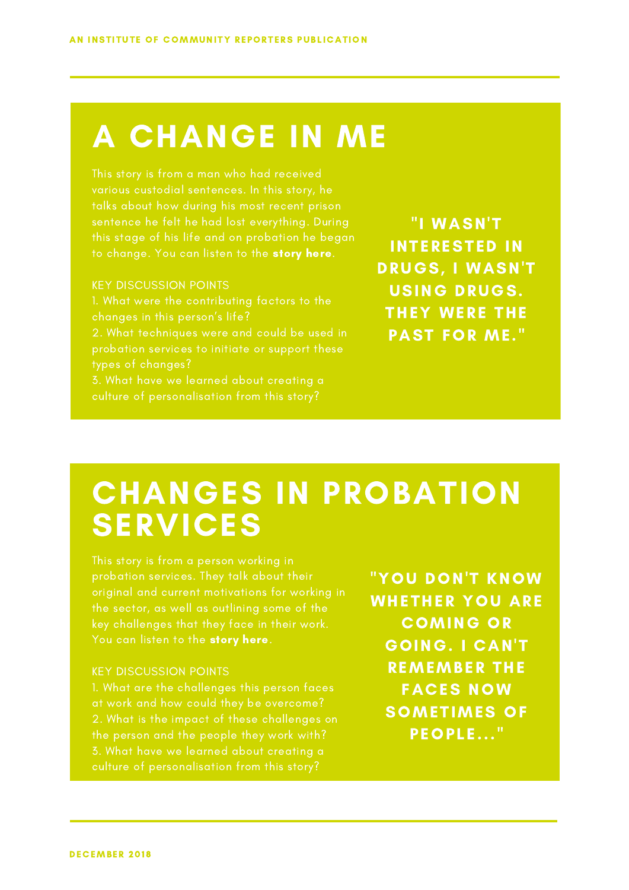#### A CHANGE IN ME

this stage of his life and on probation he began to change. You can listen to the story [here.](https://communityreporter.net/story/change-me)

#### KEY DISCUSSION POINTS

2. What techniques were and could be used in types of changes? 3. What have we learned about creating a

"I WASN'T INTERESTED IN DRUGS, I WASN'T USING DRUGS. THEY WERE THE PAST FOR ME ."

#### CHANGES IN PROBATION SERVICES

You can listen to the story [here.](https://communityreporter.net/story/changes-probation-services)

#### KEY DISCUSSION POINTS

the person and the people they work with?

"YOU DON'T KNOW WHETHER YOU ARE COMING OR GOING. I CAN'T REMEMBER THE FACES NOW SOMETIMES OF PEOPLE..."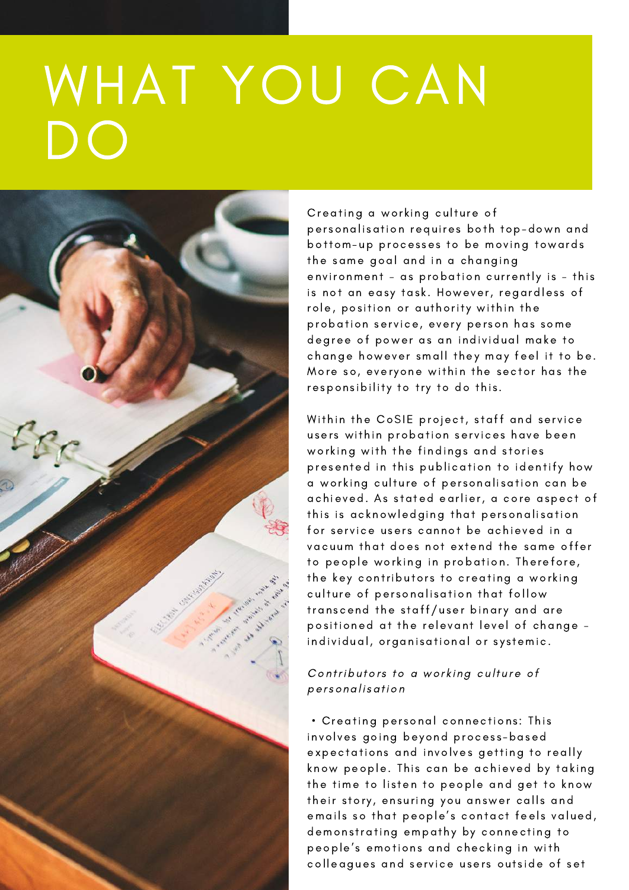# WHAT YOU CAN DO



Creating a working culture of personalisation requires both top-down and bottom-up processes to be moving towards the same goal and in a changing environment - as probation currently is - this is not an easy task. However, regardless of role, position or authority within the probation service, every person has some degree of power as an individual make to change however small they may feel it to be. More so, everyone within the sector has the responsibility to try to do this.

Within the CoSIE project, staff and service users within probation services have been working with the findings and stories presented in this publication to identify how a working culture of personalisation can be achieved. As stated earlier, a core aspect of this is acknowledging that personalisation for service users cannot be achieved in a vacuum that does not extend the same offer to people working in probation. Therefore, the key contributors to creating a working culture of personalisation that follow transcend the staff/user binary and are positioned at the relevant level of change individual, organisational or systemic.

#### Contributors to a working culture of personal isation

• Creating personal connections: This involves going beyond process-based [expectation](https://communityreporter.net/story/young-peoples-lives)s and involves getting to really know people. This can be achieved by taking the time to listen to people and get to know their story, ensuring you answer calls and emails so that people's contact feels valued, demonstrating empathy by connecting to people's emotions and checking in with colleagues and service users outside of set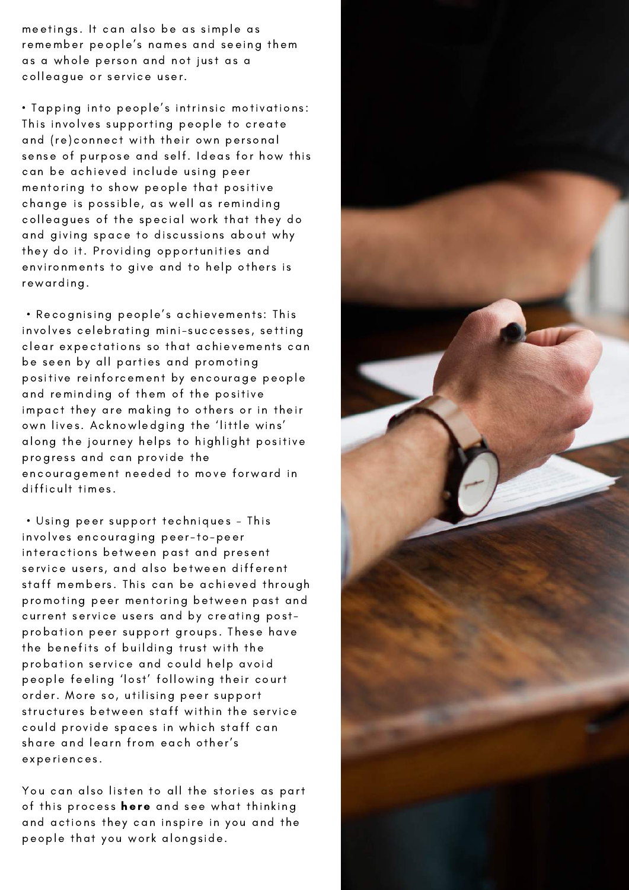meetings. It can also be as simple as remember people's names and seeing them as a whole person and not just as a colleggue or service user.

. Tapping into people's intrinsic motivations: This involves supporting people to create and (re)connect with their own personal sense of purpose and self. Ideas for how this can be achieved include using peer mentoring to show people that positive change is possible, as well as reminding colleagues of the special work that they do and giving space to discussions about why they do it. Providing opportunities and environments to give and to help others is rewarding.

. Recognising people's achievements: This involves celebrating mini-successes, setting clear expectations so that achievements can be seen by all parties and promoting positive reinforcement by encourage people and reminding of them of the positive impact they are making to others or in their own lives. Acknowledging the 'little wins' along the journey helps to highlight positive progress and can provide the encouragement needed to move forward in difficult times.

· Using peer support techniques - This involves encouraging peer-to-peer interactions between past and present service users, and also between different staff members. This can be achieved through promoting peer mentoring between past and current service users and by creating postprobation peer support groups. These have the benefits of building trust with the probation service and could help avoid people feeling 'lost' following their court order. More so, utilising peer support structures between staff within the service could provide spaces in which staff can share and learn from each other's experiences.

You can also listen to all the stories as part of this process here and see what thinking and actions they can inspire in you and the people that you work alongside.